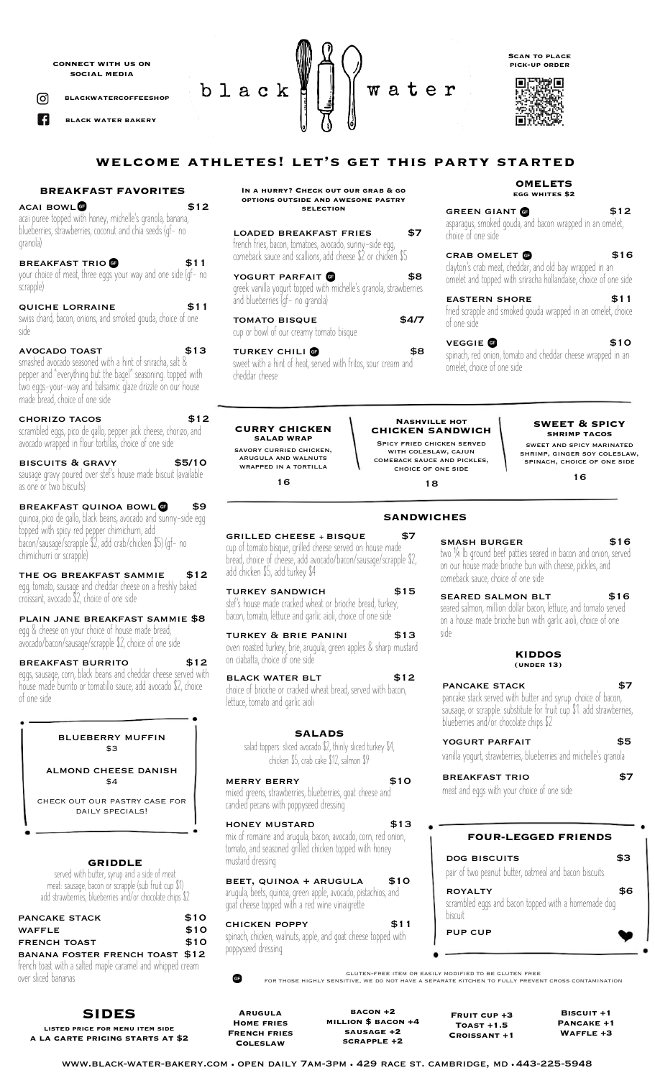**connect with us on social media**

**blackwatercoffeeshop** ര്ര

A

 **black water bakery**

black water

**welcome athletes! let's get this party started**

#### **BREAKFAST FAVORITES**

# **ACAI BOWL @**<br>acai puree topped with honey, michelle's granola, banana, blueberries, strawberries, coconut and chia seeds (gf- no granola)

BREAKFAST TRIO<sup>O</sup> \$11 your choice of meat, three eggs your way and one side (gf- no scrapple)

quiche lorraine \$11 swiss chard, bacon, onions, and smoked gouda, choice of one side

avocado toast \$13 smashed avocado seasoned with a hint of sriracha, salt & pepper and "everything but the bagel" seasoning. topped with two eggs-your-way and balsamic glaze drizzle on our house made bread, choice of one side

chorizo tacos \$12 scrambled eggs, pico de gallo, pepper jack cheese, chorizo, and avocado wrapped in flour tortillas, choice of one side

biscuits & gravy \$5/10 sausage gravy poured over stef's house made biscuit (available as one or two biscuits)

BREAKFAST QUINOA BOWL **6** \$9 quinoa, pico de gallo, black beans, avocado and sunny-side egg topped with spicy red pepper chimichurri, add<br>bacon/sausage/scrapple \$2, add crab/chicken \$5) (gf- no chimichurri or scrapple)

THE OG BREAKFAST SAMMIE \$12 egg, tomato, sausage and cheddar cheese on a freshly baked croissant, avocado \$2, choice of one side

plain jane breakfast sammie \$8 egg & cheese on your choice of house made bread, avocado/bacon/sausage/scrapple \$2, choice of one side

breakfast burrito \$12 eggs, sausage, corn, black beans and cheddar cheese served with house made burrito or tomatillo sauce, add avocado \$2, choice of one side

### blueberry muffin \$3

almond cheese danish \$4

check out our pastry case for DAILY SPECIALS!

**GRIDDLE**

served with butter, syrup and a side of meat meat: sausage, bacon or scrapple (sub fruit cup \$1) add strawberries, blueberries and/or chocolate chips \$2

| <b>PANCAKE STACK</b>                                       | \$10 |
|------------------------------------------------------------|------|
| <b>WAFFLE</b>                                              | \$10 |
| <b>FRENCH TOAST</b>                                        | \$10 |
| BANANA FOSTER FRENCH TOAST \$12                            |      |
| french toast with a salted maple caramel and whipped cream |      |
| over sliced bananas                                        |      |

# **SIDES**

**listed price for menu item side a la carte pricing starts at \$2**

#### **In a hurry? Check out our grab & go options outside and awesome pastry selection**

| <b>LOADED BREAKFAST FRIES</b><br>french fries, bacon, tomatoes, avocado, sunny-side egg,<br>comeback sauce and scallions, add cheese \$2 or chicken \$5 |       |
|---------------------------------------------------------------------------------------------------------------------------------------------------------|-------|
| YOGURT PARFAIT <b>O</b><br>greek vanilla yogurt topped with michelle's granola, strawberries<br>and blueberries (gf- no granola)                        |       |
| <b>TOMATO BISQUE</b><br>cup or bowl of our creamy tomato bisque                                                                                         | \$4/7 |
| TUDIZEM CUILLE                                                                                                                                          |       |

turkey chili \$8 sweet with a hint of heat, served with fritos, sour cream and cheddar cheese

**curry chicken salad wrap** savory curried chicken, arugula and walnuts wrapped in a tortilla 16

**Nashville hot chicken sandwich** Spicy fried chicken served with coleslaw, cajun comeback sauce and pickles, choice of one side

18

side

**sweet & spicy shrimp tacos** sweet and spicy marinated shrimp, ginger soy coleslaw, spinach, choice of one side

**OMELETS egg whites \$2**

**Scan to place pick-up order**

**Read** 

m

GREEN GIANT **6** \$12 asparagus, smoked gouda, and bacon wrapped in an omelet,

CRAB OMELET **6** \$16 clayton's crab meat, cheddar, and old bay wrapped in an<br>omelet and topped with sriracha hollandaise, choice of one side

eastern shore \$11 fried scrapple and smoked gouda wrapped in an omelet, choice

veggie **6** \$10 spinach, red onion, tomato and cheddar cheese wrapped in an

**KIDDOS (under 13)** PANCAKE STACK \$7 pancake stack served with butter and syrup. choice of bacon, sausage, or scrapple. substitute for fruit cup \$1. add strawberries,

smash burger 516

two <sup>¼</sup> lb ground beef patties seared in bacon and onion, served on our house made brioche bun with cheese, pickles, and comeback sauce, choice of one side

SEARED SALMON BLT \$16 seared salmon, million dollar bacon, lettuce, and tomato served on a house made brioche bun with garlic aioli, choice of one

YOGURT PARFAIT \$5 vanilla yogurt, strawberries, blueberries and michelle's granola breakfast trio \$7

**FOUR-LEGGED FRIENDS**

dog biscuits \$3 pair of two peanut butter, oatmeal and bacon biscuits

ROYALTY \$6 scrambled eggs and bacon topped with a homemade dog

blueberries and/or chocolate chips \$2

meat and eggs with your choice of one side

choice of one side

of one side

omelet, choice of one side

16

## **SANDWICHES**

grilled cheese + bisque \$7

cup of tomato bisque, grilled cheese served on house made bread, choice of cheese, add avocado/bacon/sausage/scrapple \$2, add chicken \$5, add turkey \$4

TURKEY SANDWICH \$15 stef's house made cracked wheat or brioche bread, turkey, bacon, tomato, lettuce and garlic aioli, choice of one side

TURKEY & BRIE PANINI \$13 oven roasted turkey, brie, arugula, green apples & sharp mustard on ciabatta, choice of one side

BLACK WATER BLT \$12 choice of brioche or cracked wheat bread, served with bacon, lettuce, tomato and garlic aioli

### **SALADS**

salad toppers: sliced avocado \$2, thinly sliced turkey \$4, chicken \$5, crab cake \$12, salmon \$9

merry berry \$10

mixed greens, strawberries, blueberries, goat cheese and candied pecans with poppyseed dressing

honey mustard \$13 mix of romaine and arugula, bacon, avocado, corn, red onion, tomato, and seasoned grilled chicken topped with honey mustard dressing

beet, quinoa + arugula \$10 arugula, beets, quinoa, green apple, avocado, pistachios, and goat cheese topped with a red wine vinaigrette

chicken poppy \$11 spinach, chicken, walnuts, apple, and goat cheese topped with poppyseed dressing

gluten-free item or easily modified to be gluten free for those highly sensitive, we do not have a separate kitchen to fully prevent cross contamination

**Arugula Home fries French fries Coleslaw**

 $\bullet$ 

**bacon +2 million \$ bacon +4 sausage +2 scrapple +2**

**Fruit cup +3 Toast +1.5 Croissant +1**

biscuit pup cup

> **Biscuit +1 Pancake +1 Waffle +3**

www.black-water-bakery.com • open daily 7am-3pm • 429 race st. cambridge, md • 443-225-5948